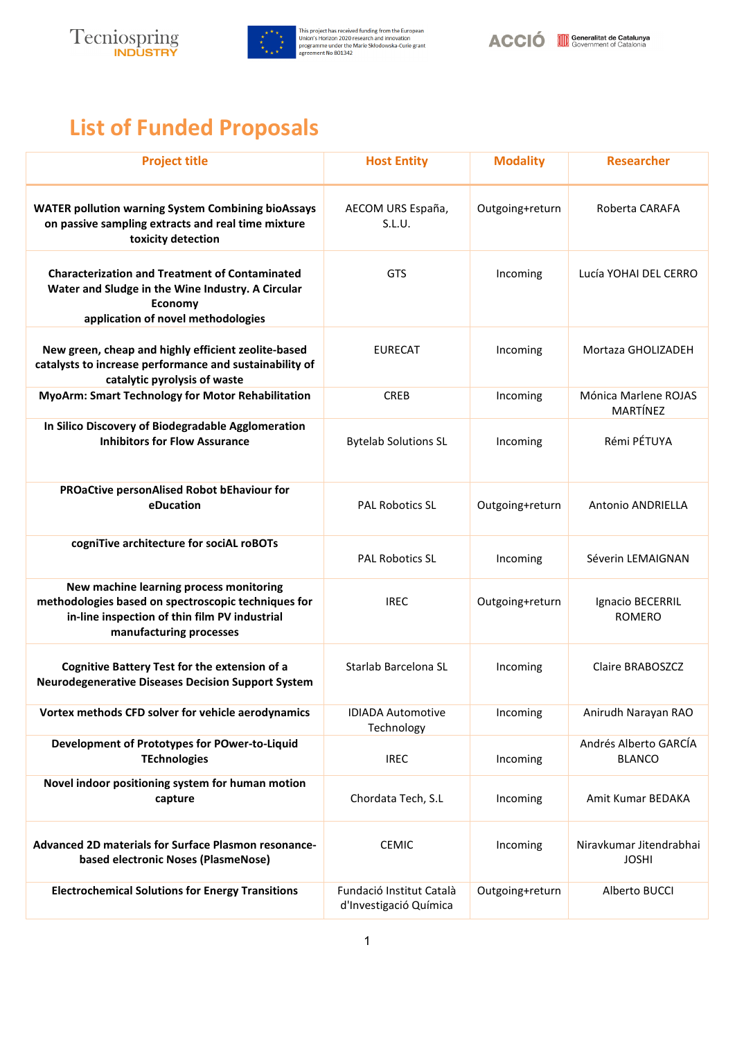



## **List of Funded Proposals**

| <b>Project title</b>                                                                                                                                                       | <b>Host Entity</b>                                 | <b>Modality</b> | <b>Researcher</b>                       |
|----------------------------------------------------------------------------------------------------------------------------------------------------------------------------|----------------------------------------------------|-----------------|-----------------------------------------|
| <b>WATER pollution warning System Combining bioAssays</b><br>on passive sampling extracts and real time mixture<br>toxicity detection                                      | AECOM URS España,<br>S.L.U.                        | Outgoing+return | Roberta CARAFA                          |
| <b>Characterization and Treatment of Contaminated</b><br>Water and Sludge in the Wine Industry. A Circular<br><b>Economy</b><br>application of novel methodologies         | <b>GTS</b>                                         | Incoming        | Lucía YOHAI DEL CERRO                   |
| New green, cheap and highly efficient zeolite-based<br>catalysts to increase performance and sustainability of<br>catalytic pyrolysis of waste                             | <b>EURECAT</b>                                     | Incoming        | Mortaza GHOLIZADEH                      |
| <b>MyoArm: Smart Technology for Motor Rehabilitation</b>                                                                                                                   | <b>CREB</b>                                        | Incoming        | Mónica Marlene ROJAS<br>MARTÍNEZ        |
| In Silico Discovery of Biodegradable Agglomeration<br><b>Inhibitors for Flow Assurance</b>                                                                                 | <b>Bytelab Solutions SL</b>                        | Incoming        | Rémi PÉTUYA                             |
| PROaCtive personAlised Robot bEhaviour for<br>eDucation                                                                                                                    | <b>PAL Robotics SL</b>                             | Outgoing+return | <b>Antonio ANDRIELLA</b>                |
| cogniTive architecture for sociAL roBOTs                                                                                                                                   | <b>PAL Robotics SL</b>                             | Incoming        | Séverin LEMAIGNAN                       |
| New machine learning process monitoring<br>methodologies based on spectroscopic techniques for<br>in-line inspection of thin film PV industrial<br>manufacturing processes | <b>IREC</b>                                        | Outgoing+return | Ignacio BECERRIL<br><b>ROMERO</b>       |
| <b>Cognitive Battery Test for the extension of a</b><br><b>Neurodegenerative Diseases Decision Support System</b>                                                          | Starlab Barcelona SL                               | Incoming        | Claire BRABOSZCZ                        |
| Vortex methods CFD solver for vehicle aerodynamics                                                                                                                         | <b>IDIADA Automotive</b><br>Technology             | Incoming        | Anirudh Narayan RAO                     |
| Development of Prototypes for POwer-to-Liquid<br><b>TEchnologies</b>                                                                                                       | <b>IREC</b>                                        | Incoming        | Andrés Alberto GARCÍA<br><b>BLANCO</b>  |
| Novel indoor positioning system for human motion<br>capture                                                                                                                | Chordata Tech, S.L                                 | Incoming        | Amit Kumar BEDAKA                       |
| Advanced 2D materials for Surface Plasmon resonance-<br>based electronic Noses (PlasmeNose)                                                                                | <b>CEMIC</b>                                       | Incoming        | Niravkumar Jitendrabhai<br><b>JOSHI</b> |
| <b>Electrochemical Solutions for Energy Transitions</b>                                                                                                                    | Fundació Institut Català<br>d'Investigació Química | Outgoing+return | Alberto BUCCI                           |